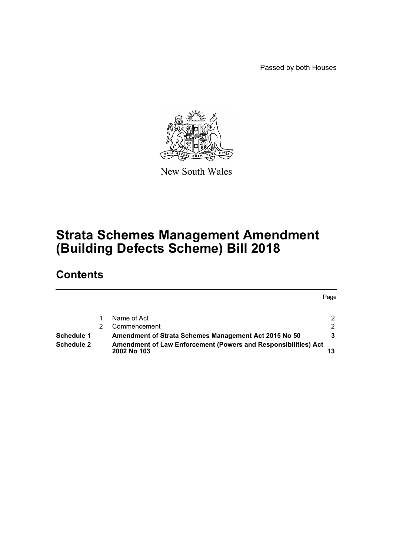Passed by both Houses



New South Wales

# **Strata Schemes Management Amendment (Building Defects Scheme) Bill 2018**

# **Contents**

|                   |                                                                                      | Page |
|-------------------|--------------------------------------------------------------------------------------|------|
|                   | Name of Act                                                                          |      |
|                   | Commencement                                                                         | 2    |
| Schedule 1        | Amendment of Strata Schemes Management Act 2015 No 50                                |      |
| <b>Schedule 2</b> | <b>Amendment of Law Enforcement (Powers and Responsibilities) Act</b><br>2002 No 103 |      |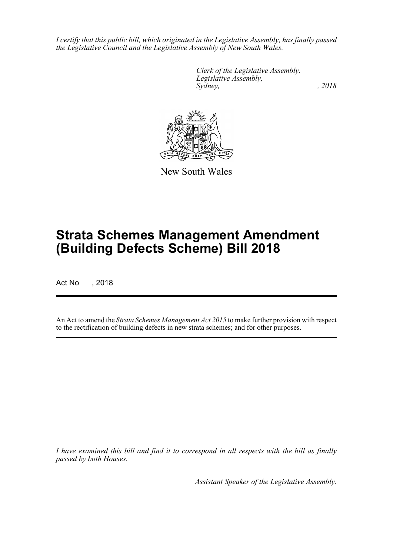*I certify that this public bill, which originated in the Legislative Assembly, has finally passed the Legislative Council and the Legislative Assembly of New South Wales.*

> *Clerk of the Legislative Assembly. Legislative Assembly, Sydney, , 2018*



New South Wales

# **Strata Schemes Management Amendment (Building Defects Scheme) Bill 2018**

Act No , 2018

An Act to amend the *Strata Schemes Management Act 2015* to make further provision with respect to the rectification of building defects in new strata schemes; and for other purposes.

*I have examined this bill and find it to correspond in all respects with the bill as finally passed by both Houses.*

*Assistant Speaker of the Legislative Assembly.*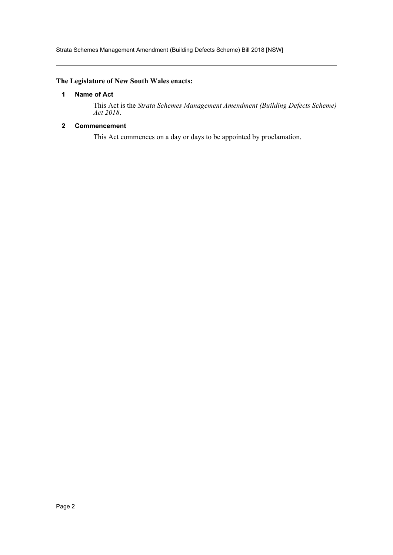Strata Schemes Management Amendment (Building Defects Scheme) Bill 2018 [NSW]

# <span id="page-2-0"></span>**The Legislature of New South Wales enacts:**

# **1 Name of Act**

This Act is the *Strata Schemes Management Amendment (Building Defects Scheme) Act 2018*.

# <span id="page-2-1"></span>**2 Commencement**

This Act commences on a day or days to be appointed by proclamation.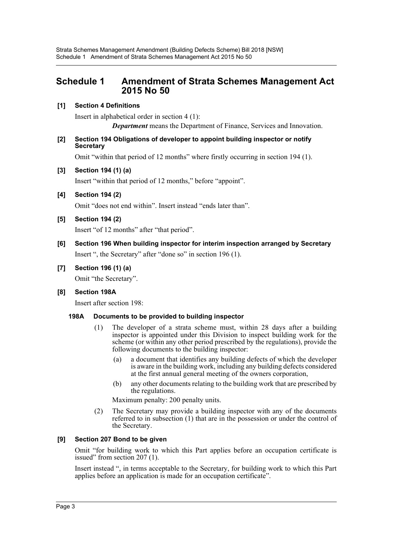# <span id="page-3-0"></span>**Schedule 1 Amendment of Strata Schemes Management Act 2015 No 50**

# **[1] Section 4 Definitions**

Insert in alphabetical order in section 4 (1): *Department* means the Department of Finance, Services and Innovation.

#### **[2] Section 194 Obligations of developer to appoint building inspector or notify Secretary**

Omit "within that period of 12 months" where firstly occurring in section 194 (1).

# **[3] Section 194 (1) (a)**

Insert "within that period of 12 months," before "appoint".

# **[4] Section 194 (2)**

Omit "does not end within". Insert instead "ends later than".

# **[5] Section 194 (2)**

Insert "of 12 months" after "that period".

# **[6] Section 196 When building inspector for interim inspection arranged by Secretary** Insert ", the Secretary" after "done so" in section 196 (1).

# **[7] Section 196 (1) (a)**

Omit "the Secretary".

# **[8] Section 198A**

Insert after section 198:

# **198A Documents to be provided to building inspector**

- (1) The developer of a strata scheme must, within 28 days after a building inspector is appointed under this Division to inspect building work for the scheme (or within any other period prescribed by the regulations), provide the following documents to the building inspector:
	- (a) a document that identifies any building defects of which the developer is aware in the building work, including any building defects considered at the first annual general meeting of the owners corporation,
	- (b) any other documents relating to the building work that are prescribed by the regulations.

Maximum penalty: 200 penalty units.

(2) The Secretary may provide a building inspector with any of the documents referred to in subsection (1) that are in the possession or under the control of the Secretary.

# **[9] Section 207 Bond to be given**

Omit "for building work to which this Part applies before an occupation certificate is issued" from section 207 (1).

Insert instead ", in terms acceptable to the Secretary, for building work to which this Part applies before an application is made for an occupation certificate".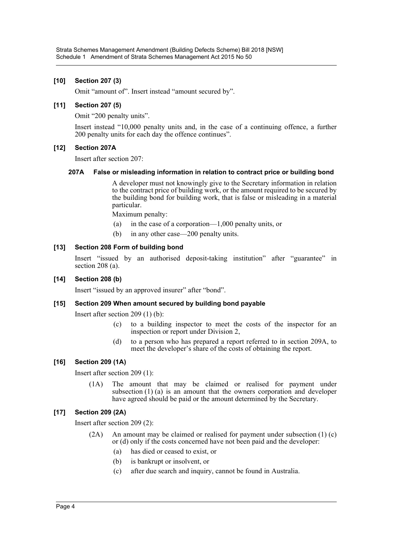# **[10] Section 207 (3)**

Omit "amount of". Insert instead "amount secured by".

# **[11] Section 207 (5)**

Omit "200 penalty units".

Insert instead "10,000 penalty units and, in the case of a continuing offence, a further 200 penalty units for each day the offence continues".

# **[12] Section 207A**

Insert after section 207:

#### **207A False or misleading information in relation to contract price or building bond**

A developer must not knowingly give to the Secretary information in relation to the contract price of building work, or the amount required to be secured by the building bond for building work, that is false or misleading in a material particular.

Maximum penalty:

- (a) in the case of a corporation—1,000 penalty units, or
- (b) in any other case—200 penalty units.

# **[13] Section 208 Form of building bond**

Insert "issued by an authorised deposit-taking institution" after "guarantee" in section 208 (a).

#### **[14] Section 208 (b)**

Insert "issued by an approved insurer" after "bond".

# **[15] Section 209 When amount secured by building bond payable**

Insert after section 209 (1) (b):

- (c) to a building inspector to meet the costs of the inspector for an inspection or report under Division 2,
- (d) to a person who has prepared a report referred to in section 209A, to meet the developer's share of the costs of obtaining the report.

# **[16] Section 209 (1A)**

Insert after section 209 (1):

(1A) The amount that may be claimed or realised for payment under subsection (1) (a) is an amount that the owners corporation and developer have agreed should be paid or the amount determined by the Secretary.

# **[17] Section 209 (2A)**

Insert after section 209 (2):

- (2A) An amount may be claimed or realised for payment under subsection (1) (c) or (d) only if the costs concerned have not been paid and the developer:
	- (a) has died or ceased to exist, or
	- (b) is bankrupt or insolvent, or
	- (c) after due search and inquiry, cannot be found in Australia.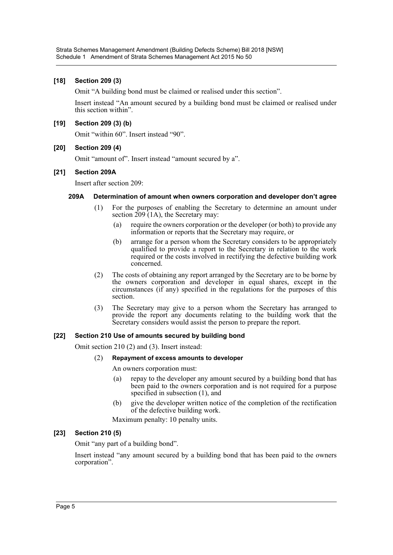#### **[18] Section 209 (3)**

Omit "A building bond must be claimed or realised under this section".

Insert instead "An amount secured by a building bond must be claimed or realised under this section within".

# **[19] Section 209 (3) (b)**

Omit "within 60". Insert instead "90".

# **[20] Section 209 (4)**

Omit "amount of". Insert instead "amount secured by a".

#### **[21] Section 209A**

Insert after section 209:

# **209A Determination of amount when owners corporation and developer don't agree**

- (1) For the purposes of enabling the Secretary to determine an amount under section  $209(1)$ , the Secretary may:
	- (a) require the owners corporation or the developer (or both) to provide any information or reports that the Secretary may require, or
	- (b) arrange for a person whom the Secretary considers to be appropriately qualified to provide a report to the Secretary in relation to the work required or the costs involved in rectifying the defective building work concerned.
- (2) The costs of obtaining any report arranged by the Secretary are to be borne by the owners corporation and developer in equal shares, except in the circumstances (if any) specified in the regulations for the purposes of this section.
- (3) The Secretary may give to a person whom the Secretary has arranged to provide the report any documents relating to the building work that the Secretary considers would assist the person to prepare the report.

# **[22] Section 210 Use of amounts secured by building bond**

Omit section 210 (2) and (3). Insert instead:

#### (2) **Repayment of excess amounts to developer**

An owners corporation must:

- (a) repay to the developer any amount secured by a building bond that has been paid to the owners corporation and is not required for a purpose specified in subsection (1), and
- (b) give the developer written notice of the completion of the rectification of the defective building work.

Maximum penalty: 10 penalty units.

#### **[23] Section 210 (5)**

Omit "any part of a building bond".

Insert instead "any amount secured by a building bond that has been paid to the owners corporation".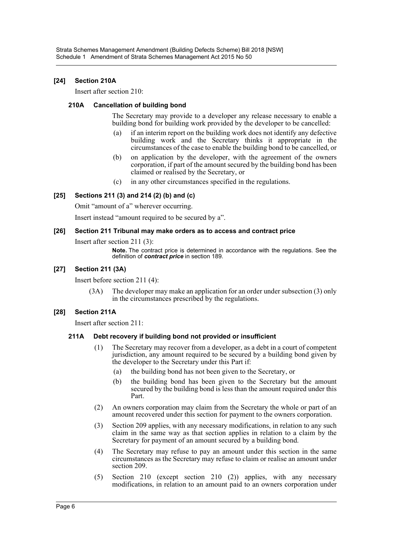# **[24] Section 210A**

Insert after section 210:

#### **210A Cancellation of building bond**

The Secretary may provide to a developer any release necessary to enable a building bond for building work provided by the developer to be cancelled:

- (a) if an interim report on the building work does not identify any defective building work and the Secretary thinks it appropriate in the circumstances of the case to enable the building bond to be cancelled, or
- (b) on application by the developer, with the agreement of the owners corporation, if part of the amount secured by the building bond has been claimed or realised by the Secretary, or
- (c) in any other circumstances specified in the regulations.

# **[25] Sections 211 (3) and 214 (2) (b) and (c)**

Omit "amount of a" wherever occurring.

Insert instead "amount required to be secured by a".

#### **[26] Section 211 Tribunal may make orders as to access and contract price**

Insert after section 211 (3):

**Note.** The contract price is determined in accordance with the regulations. See the definition of *contract price* in section 189.

#### **[27] Section 211 (3A)**

Insert before section 211 (4):

(3A) The developer may make an application for an order under subsection (3) only in the circumstances prescribed by the regulations.

#### **[28] Section 211A**

Insert after section 211:

#### **211A Debt recovery if building bond not provided or insufficient**

- (1) The Secretary may recover from a developer, as a debt in a court of competent jurisdiction, any amount required to be secured by a building bond given by the developer to the Secretary under this Part if:
	- (a) the building bond has not been given to the Secretary, or
	- (b) the building bond has been given to the Secretary but the amount secured by the building bond is less than the amount required under this Part.
- (2) An owners corporation may claim from the Secretary the whole or part of an amount recovered under this section for payment to the owners corporation.
- (3) Section 209 applies, with any necessary modifications, in relation to any such claim in the same way as that section applies in relation to a claim by the Secretary for payment of an amount secured by a building bond.
- (4) The Secretary may refuse to pay an amount under this section in the same circumstances as the Secretary may refuse to claim or realise an amount under section 209.
- (5) Section 210 (except section 210 (2)) applies, with any necessary modifications, in relation to an amount paid to an owners corporation under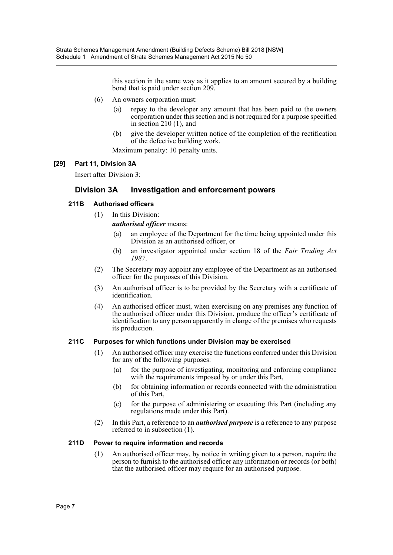this section in the same way as it applies to an amount secured by a building bond that is paid under section 209.

- (6) An owners corporation must:
	- (a) repay to the developer any amount that has been paid to the owners corporation under this section and is not required for a purpose specified in section 210 (1), and
	- (b) give the developer written notice of the completion of the rectification of the defective building work.

Maximum penalty: 10 penalty units.

# **[29] Part 11, Division 3A**

Insert after Division 3:

# **Division 3A Investigation and enforcement powers**

# **211B Authorised officers**

(1) In this Division:

*authorised officer* means:

- (a) an employee of the Department for the time being appointed under this Division as an authorised officer, or
- (b) an investigator appointed under section 18 of the *Fair Trading Act 1987*.
- (2) The Secretary may appoint any employee of the Department as an authorised officer for the purposes of this Division.
- (3) An authorised officer is to be provided by the Secretary with a certificate of identification.
- (4) An authorised officer must, when exercising on any premises any function of the authorised officer under this Division, produce the officer's certificate of identification to any person apparently in charge of the premises who requests its production.

#### **211C Purposes for which functions under Division may be exercised**

- (1) An authorised officer may exercise the functions conferred under this Division for any of the following purposes:
	- (a) for the purpose of investigating, monitoring and enforcing compliance with the requirements imposed by or under this Part,
	- (b) for obtaining information or records connected with the administration of this Part,
	- (c) for the purpose of administering or executing this Part (including any regulations made under this Part).
- (2) In this Part, a reference to an *authorised purpose* is a reference to any purpose referred to in subsection (1).

### **211D Power to require information and records**

(1) An authorised officer may, by notice in writing given to a person, require the person to furnish to the authorised officer any information or records (or both) that the authorised officer may require for an authorised purpose.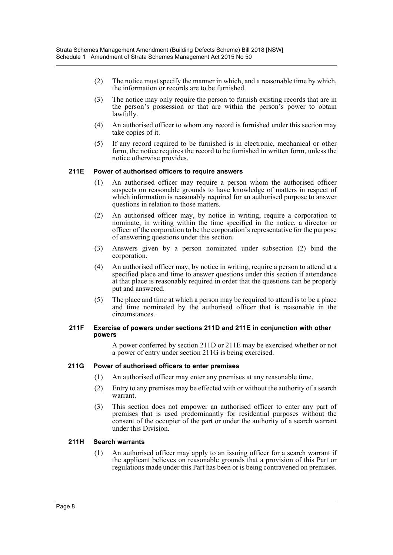- (2) The notice must specify the manner in which, and a reasonable time by which, the information or records are to be furnished.
- (3) The notice may only require the person to furnish existing records that are in the person's possession or that are within the person's power to obtain lawfully.
- (4) An authorised officer to whom any record is furnished under this section may take copies of it.
- (5) If any record required to be furnished is in electronic, mechanical or other form, the notice requires the record to be furnished in written form, unless the notice otherwise provides.

#### **211E Power of authorised officers to require answers**

- (1) An authorised officer may require a person whom the authorised officer suspects on reasonable grounds to have knowledge of matters in respect of which information is reasonably required for an authorised purpose to answer questions in relation to those matters.
- (2) An authorised officer may, by notice in writing, require a corporation to nominate, in writing within the time specified in the notice, a director or officer of the corporation to be the corporation's representative for the purpose of answering questions under this section.
- (3) Answers given by a person nominated under subsection (2) bind the corporation.
- (4) An authorised officer may, by notice in writing, require a person to attend at a specified place and time to answer questions under this section if attendance at that place is reasonably required in order that the questions can be properly put and answered.
- (5) The place and time at which a person may be required to attend is to be a place and time nominated by the authorised officer that is reasonable in the circumstances.

#### **211F Exercise of powers under sections 211D and 211E in conjunction with other powers**

A power conferred by section 211D or 211E may be exercised whether or not a power of entry under section 211G is being exercised.

#### **211G Power of authorised officers to enter premises**

- (1) An authorised officer may enter any premises at any reasonable time.
- (2) Entry to any premises may be effected with or without the authority of a search warrant.
- (3) This section does not empower an authorised officer to enter any part of premises that is used predominantly for residential purposes without the consent of the occupier of the part or under the authority of a search warrant under this Division.

#### **211H Search warrants**

(1) An authorised officer may apply to an issuing officer for a search warrant if the applicant believes on reasonable grounds that a provision of this Part or regulations made under this Part has been or is being contravened on premises.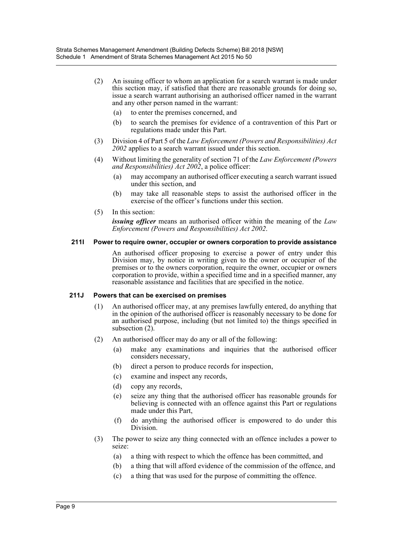- (2) An issuing officer to whom an application for a search warrant is made under this section may, if satisfied that there are reasonable grounds for doing so, issue a search warrant authorising an authorised officer named in the warrant and any other person named in the warrant:
	- (a) to enter the premises concerned, and
	- (b) to search the premises for evidence of a contravention of this Part or regulations made under this Part.
- (3) Division 4 of Part 5 of the *Law Enforcement (Powers and Responsibilities) Act 2002* applies to a search warrant issued under this section.
- (4) Without limiting the generality of section 71 of the *Law Enforcement (Powers and Responsibilities) Act 2002*, a police officer:
	- (a) may accompany an authorised officer executing a search warrant issued under this section, and
	- (b) may take all reasonable steps to assist the authorised officer in the exercise of the officer's functions under this section.
- (5) In this section:

*issuing officer* means an authorised officer within the meaning of the *Law Enforcement (Powers and Responsibilities) Act 2002*.

#### **211I Power to require owner, occupier or owners corporation to provide assistance**

An authorised officer proposing to exercise a power of entry under this Division may, by notice in writing given to the owner or occupier of the premises or to the owners corporation, require the owner, occupier or owners corporation to provide, within a specified time and in a specified manner, any reasonable assistance and facilities that are specified in the notice.

#### **211J Powers that can be exercised on premises**

- (1) An authorised officer may, at any premises lawfully entered, do anything that in the opinion of the authorised officer is reasonably necessary to be done for an authorised purpose, including (but not limited to) the things specified in subsection  $(2)$ .
- (2) An authorised officer may do any or all of the following:
	- (a) make any examinations and inquiries that the authorised officer considers necessary,
	- (b) direct a person to produce records for inspection,
	- (c) examine and inspect any records,
	- (d) copy any records,
	- (e) seize any thing that the authorised officer has reasonable grounds for believing is connected with an offence against this Part or regulations made under this Part,
	- (f) do anything the authorised officer is empowered to do under this Division.
- (3) The power to seize any thing connected with an offence includes a power to seize:
	- (a) a thing with respect to which the offence has been committed, and
	- (b) a thing that will afford evidence of the commission of the offence, and
	- (c) a thing that was used for the purpose of committing the offence.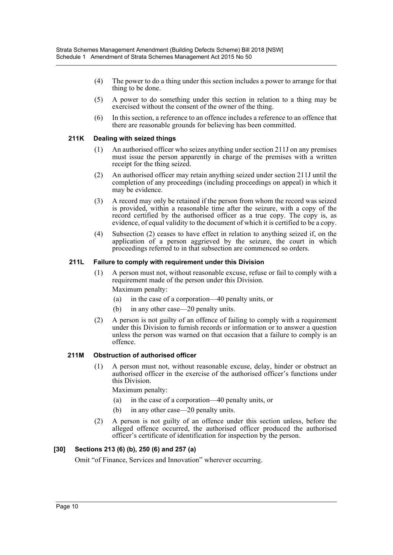- (4) The power to do a thing under this section includes a power to arrange for that thing to be done.
- (5) A power to do something under this section in relation to a thing may be exercised without the consent of the owner of the thing.
- (6) In this section, a reference to an offence includes a reference to an offence that there are reasonable grounds for believing has been committed.

#### **211K Dealing with seized things**

- (1) An authorised officer who seizes anything under section 211J on any premises must issue the person apparently in charge of the premises with a written receipt for the thing seized.
- (2) An authorised officer may retain anything seized under section 211J until the completion of any proceedings (including proceedings on appeal) in which it may be evidence.
- (3) A record may only be retained if the person from whom the record was seized is provided, within a reasonable time after the seizure, with a copy of the record certified by the authorised officer as a true copy. The copy is, as evidence, of equal validity to the document of which it is certified to be a copy.
- (4) Subsection (2) ceases to have effect in relation to anything seized if, on the application of a person aggrieved by the seizure, the court in which proceedings referred to in that subsection are commenced so orders.

#### **211L Failure to comply with requirement under this Division**

- (1) A person must not, without reasonable excuse, refuse or fail to comply with a requirement made of the person under this Division.
	- Maximum penalty:
	- (a) in the case of a corporation—40 penalty units, or
	- (b) in any other case—20 penalty units.
- (2) A person is not guilty of an offence of failing to comply with a requirement under this Division to furnish records or information or to answer a question unless the person was warned on that occasion that a failure to comply is an offence.

#### **211M Obstruction of authorised officer**

(1) A person must not, without reasonable excuse, delay, hinder or obstruct an authorised officer in the exercise of the authorised officer's functions under this Division.

Maximum penalty:

- (a) in the case of a corporation—40 penalty units, or
- (b) in any other case—20 penalty units.
- (2) A person is not guilty of an offence under this section unless, before the alleged offence occurred, the authorised officer produced the authorised officer's certificate of identification for inspection by the person.

#### **[30] Sections 213 (6) (b), 250 (6) and 257 (a)**

Omit "of Finance, Services and Innovation" wherever occurring.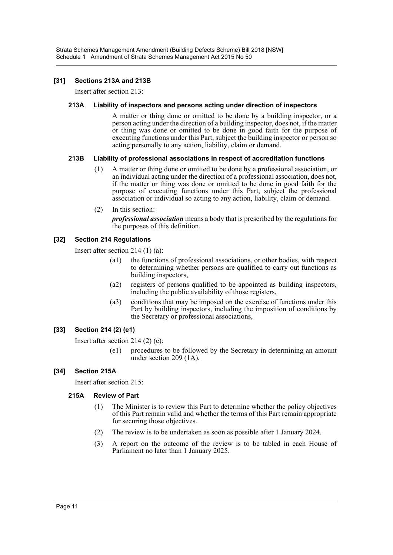# **[31] Sections 213A and 213B**

Insert after section 213:

#### **213A Liability of inspectors and persons acting under direction of inspectors**

A matter or thing done or omitted to be done by a building inspector, or a person acting under the direction of a building inspector, does not, if the matter or thing was done or omitted to be done in good faith for the purpose of executing functions under this Part, subject the building inspector or person so acting personally to any action, liability, claim or demand.

# **213B Liability of professional associations in respect of accreditation functions**

- (1) A matter or thing done or omitted to be done by a professional association, or an individual acting under the direction of a professional association, does not, if the matter or thing was done or omitted to be done in good faith for the purpose of executing functions under this Part, subject the professional association or individual so acting to any action, liability, claim or demand.
- (2) In this section:

*professional association* means a body that is prescribed by the regulations for the purposes of this definition.

# **[32] Section 214 Regulations**

Insert after section 214 (1) (a):

- (a1) the functions of professional associations, or other bodies, with respect to determining whether persons are qualified to carry out functions as building inspectors,
- (a2) registers of persons qualified to be appointed as building inspectors, including the public availability of those registers,
- (a3) conditions that may be imposed on the exercise of functions under this Part by building inspectors, including the imposition of conditions by the Secretary or professional associations,

#### **[33] Section 214 (2) (e1)**

Insert after section 214 (2) (e):

(e1) procedures to be followed by the Secretary in determining an amount under section 209 (1A),

# **[34] Section 215A**

Insert after section 215:

#### **215A Review of Part**

- (1) The Minister is to review this Part to determine whether the policy objectives of this Part remain valid and whether the terms of this Part remain appropriate for securing those objectives.
- (2) The review is to be undertaken as soon as possible after 1 January 2024.
- (3) A report on the outcome of the review is to be tabled in each House of Parliament no later than 1 January 2025.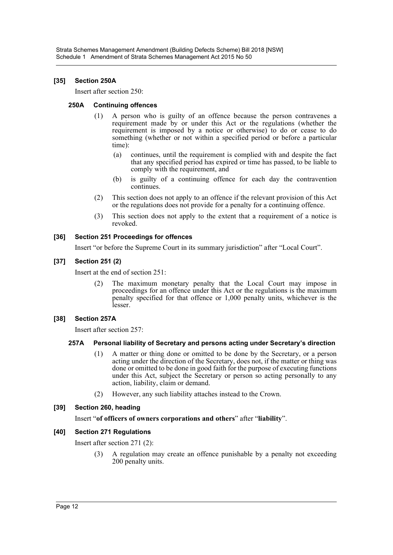#### **[35] Section 250A**

Insert after section 250:

#### **250A Continuing offences**

- (1) A person who is guilty of an offence because the person contravenes a requirement made by or under this Act or the regulations (whether the requirement is imposed by a notice or otherwise) to do or cease to do something (whether or not within a specified period or before a particular time):
	- (a) continues, until the requirement is complied with and despite the fact that any specified period has expired or time has passed, to be liable to comply with the requirement, and
	- (b) is guilty of a continuing offence for each day the contravention continues.
- (2) This section does not apply to an offence if the relevant provision of this Act or the regulations does not provide for a penalty for a continuing offence.
- (3) This section does not apply to the extent that a requirement of a notice is revoked.

# **[36] Section 251 Proceedings for offences**

Insert "or before the Supreme Court in its summary jurisdiction" after "Local Court".

# **[37] Section 251 (2)**

Insert at the end of section 251:

(2) The maximum monetary penalty that the Local Court may impose in proceedings for an offence under this Act or the regulations is the maximum penalty specified for that offence or 1,000 penalty units, whichever is the lesser.

#### **[38] Section 257A**

Insert after section 257:

#### **257A Personal liability of Secretary and persons acting under Secretary's direction**

- (1) A matter or thing done or omitted to be done by the Secretary, or a person acting under the direction of the Secretary, does not, if the matter or thing was done or omitted to be done in good faith for the purpose of executing functions under this Act, subject the Secretary or person so acting personally to any action, liability, claim or demand.
- (2) However, any such liability attaches instead to the Crown.

#### **[39] Section 260, heading**

#### Insert "**of officers of owners corporations and others**" after "**liability**".

#### **[40] Section 271 Regulations**

Insert after section 271 (2):

(3) A regulation may create an offence punishable by a penalty not exceeding 200 penalty units.